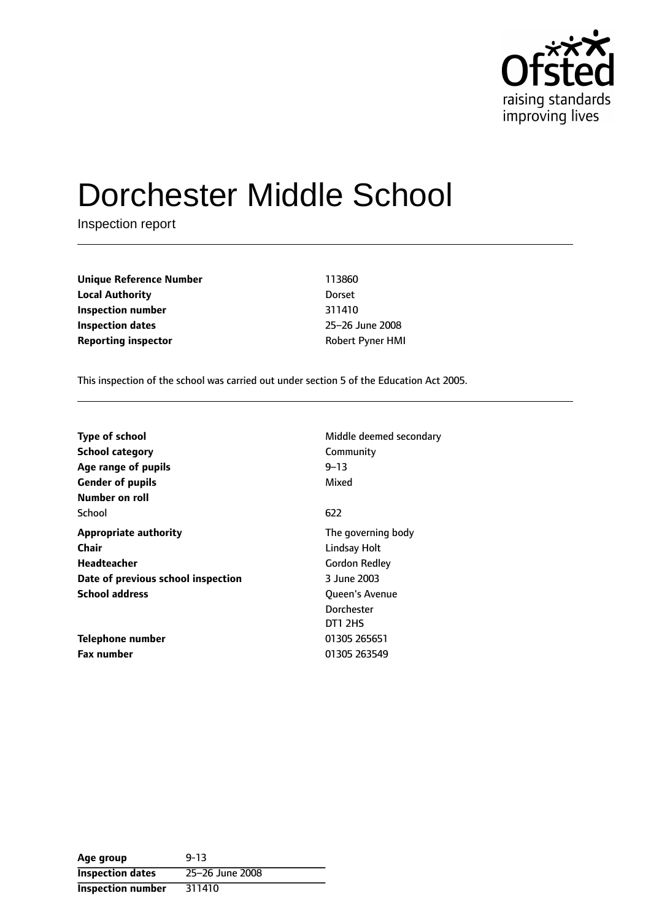

# Dorchester Middle School

Inspection report

**Unique Reference Number** 113860 **Local Authority** Dorset **Inspection number** 311410 **Inspection dates** 25-26 June 2008 **Reporting inspector CONFIDENTIAL ROBERT PURITY ROBERT PYNET HMI** 

This inspection of the school was carried out under section 5 of the Education Act 2005.

| <b>Type of school</b>              | Middle deemed secondary |
|------------------------------------|-------------------------|
| <b>School category</b>             | Community               |
| Age range of pupils                | $9 - 13$                |
| <b>Gender of pupils</b>            | Mixed                   |
| Number on roll                     |                         |
| School                             | 622                     |
| <b>Appropriate authority</b>       | The governing body      |
| Chair                              | <b>Lindsay Holt</b>     |
| Headteacher                        | <b>Gordon Redley</b>    |
| Date of previous school inspection | 3 June 2003             |
| <b>School address</b>              | <b>Oueen's Avenue</b>   |
|                                    | Dorchester              |
|                                    | DT1 2HS                 |
| Telephone number                   | 01305 265651            |
| <b>Fax number</b>                  | 01305 263549            |

| Age group                | $9 - 13$        |
|--------------------------|-----------------|
| <b>Inspection dates</b>  | 25-26 June 2008 |
| <b>Inspection number</b> | 311410          |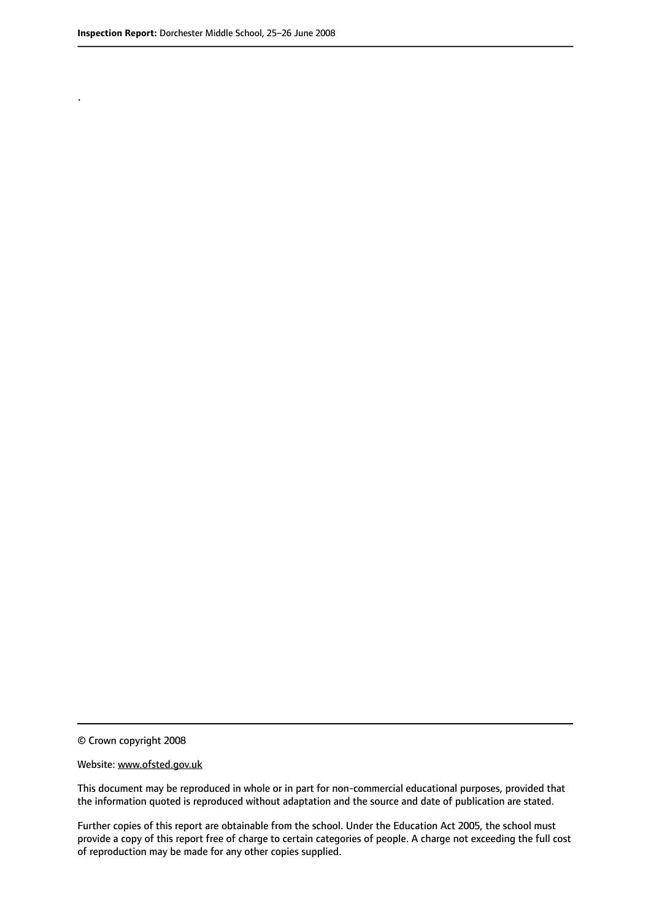.

© Crown copyright 2008

#### Website: www.ofsted.gov.uk

This document may be reproduced in whole or in part for non-commercial educational purposes, provided that the information quoted is reproduced without adaptation and the source and date of publication are stated.

Further copies of this report are obtainable from the school. Under the Education Act 2005, the school must provide a copy of this report free of charge to certain categories of people. A charge not exceeding the full cost of reproduction may be made for any other copies supplied.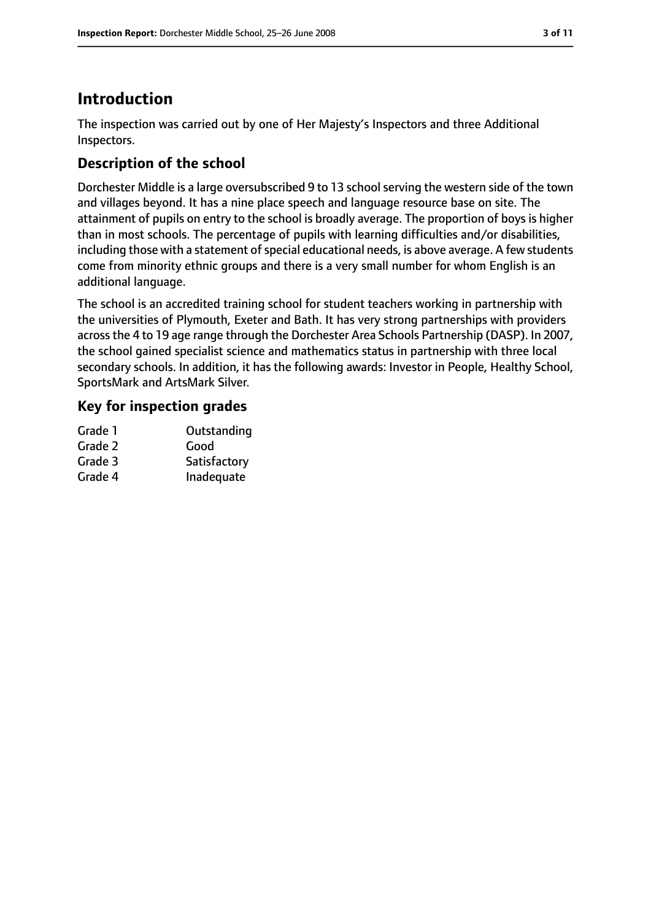# **Introduction**

The inspection was carried out by one of Her Majesty's Inspectors and three Additional Inspectors.

## **Description of the school**

Dorchester Middle is a large oversubscribed 9 to 13 school serving the western side of the town and villages beyond. It has a nine place speech and language resource base on site. The attainment of pupils on entry to the school is broadly average. The proportion of boys is higher than in most schools. The percentage of pupils with learning difficulties and/or disabilities, including those with a statement of special educational needs, is above average. A few students come from minority ethnic groups and there is a very small number for whom English is an additional language.

The school is an accredited training school for student teachers working in partnership with the universities of Plymouth, Exeter and Bath. It has very strong partnerships with providers across the 4 to 19 age range through the Dorchester Area Schools Partnership (DASP). In 2007, the school gained specialist science and mathematics status in partnership with three local secondary schools. In addition, it has the following awards: Investor in People, Healthy School, SportsMark and ArtsMark Silver.

## **Key for inspection grades**

| Grade 1 | Outstanding  |
|---------|--------------|
| Grade 2 | Good         |
| Grade 3 | Satisfactory |
| Grade 4 | Inadequate   |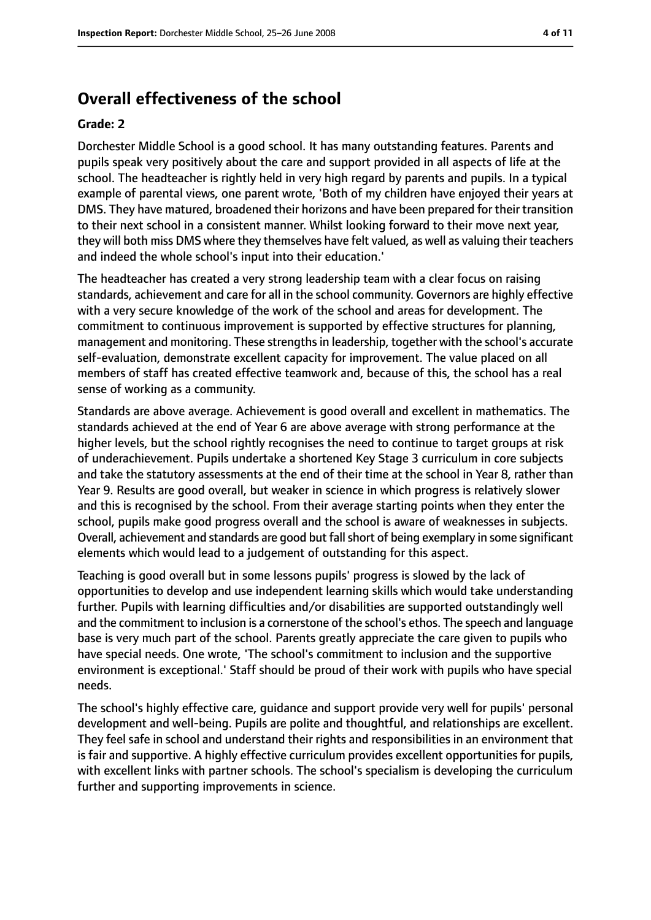## **Overall effectiveness of the school**

#### **Grade: 2**

Dorchester Middle School is a good school. It has many outstanding features. Parents and pupils speak very positively about the care and support provided in all aspects of life at the school. The headteacher is rightly held in very high regard by parents and pupils. In a typical example of parental views, one parent wrote, 'Both of my children have enjoyed their years at DMS. They have matured, broadened their horizons and have been prepared for their transition to their next school in a consistent manner. Whilst looking forward to their move next year, they will both miss DMS where they themselves have felt valued, as well as valuing their teachers and indeed the whole school's input into their education.'

The headteacher has created a very strong leadership team with a clear focus on raising standards, achievement and care for all in the school community. Governors are highly effective with a very secure knowledge of the work of the school and areas for development. The commitment to continuous improvement is supported by effective structures for planning, management and monitoring. These strengths in leadership, together with the school's accurate self-evaluation, demonstrate excellent capacity for improvement. The value placed on all members of staff has created effective teamwork and, because of this, the school has a real sense of working as a community.

Standards are above average. Achievement is good overall and excellent in mathematics. The standards achieved at the end of Year 6 are above average with strong performance at the higher levels, but the school rightly recognises the need to continue to target groups at risk of underachievement. Pupils undertake a shortened Key Stage 3 curriculum in core subjects and take the statutory assessments at the end of their time at the school in Year 8, rather than Year 9. Results are good overall, but weaker in science in which progress is relatively slower and this is recognised by the school. From their average starting points when they enter the school, pupils make good progress overall and the school is aware of weaknesses in subjects. Overall, achievement and standards are good but fall short of being exemplary in some significant elements which would lead to a judgement of outstanding for this aspect.

Teaching is good overall but in some lessons pupils' progress is slowed by the lack of opportunities to develop and use independent learning skills which would take understanding further. Pupils with learning difficulties and/or disabilities are supported outstandingly well and the commitment to inclusion is a cornerstone of the school's ethos. The speech and language base is very much part of the school. Parents greatly appreciate the care given to pupils who have special needs. One wrote, 'The school's commitment to inclusion and the supportive environment is exceptional.' Staff should be proud of their work with pupils who have special needs.

The school's highly effective care, guidance and support provide very well for pupils' personal development and well-being. Pupils are polite and thoughtful, and relationships are excellent. They feel safe in school and understand their rights and responsibilities in an environment that is fair and supportive. A highly effective curriculum provides excellent opportunities for pupils, with excellent links with partner schools. The school's specialism is developing the curriculum further and supporting improvements in science.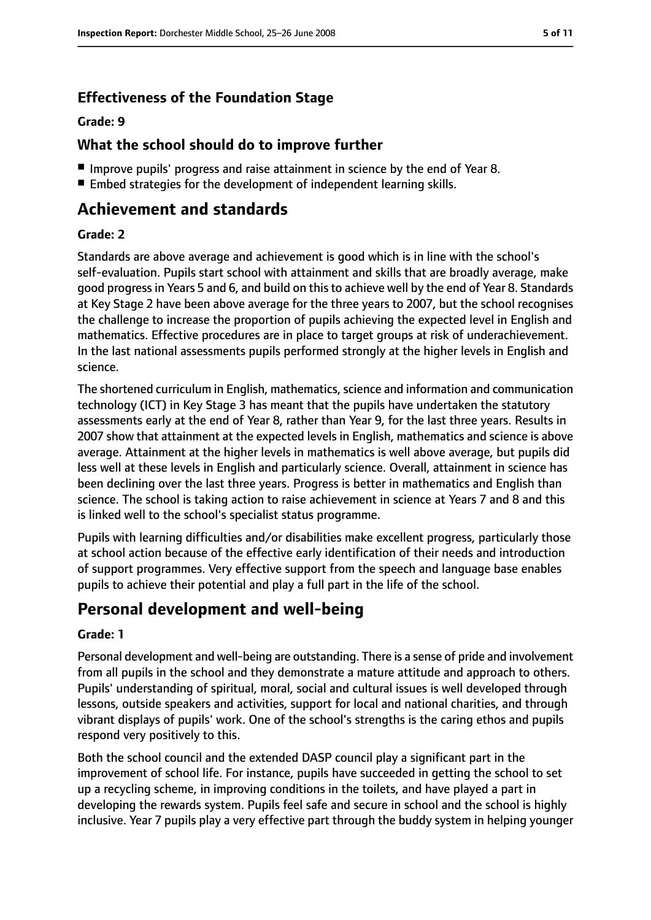## **Effectiveness of the Foundation Stage**

#### **Grade: 9**

## **What the school should do to improve further**

- Improve pupils' progress and raise attainment in science by the end of Year 8.
- Embed strategies for the development of independent learning skills.

## **Achievement and standards**

#### **Grade: 2**

Standards are above average and achievement is good which is in line with the school's self-evaluation. Pupils start school with attainment and skills that are broadly average, make good progress in Years 5 and 6, and build on this to achieve well by the end of Year 8. Standards at Key Stage 2 have been above average for the three years to 2007, but the school recognises the challenge to increase the proportion of pupils achieving the expected level in English and mathematics. Effective procedures are in place to target groups at risk of underachievement. In the last national assessments pupils performed strongly at the higher levels in English and science.

The shortened curriculum in English, mathematics, science and information and communication technology (ICT) in Key Stage 3 has meant that the pupils have undertaken the statutory assessments early at the end of Year 8, rather than Year 9, for the last three years. Results in 2007 show that attainment at the expected levels in English, mathematics and science is above average. Attainment at the higher levels in mathematics is well above average, but pupils did less well at these levels in English and particularly science. Overall, attainment in science has been declining over the last three years. Progress is better in mathematics and English than science. The school is taking action to raise achievement in science at Years 7 and 8 and this is linked well to the school's specialist status programme.

Pupils with learning difficulties and/or disabilities make excellent progress, particularly those at school action because of the effective early identification of their needs and introduction of support programmes. Very effective support from the speech and language base enables pupils to achieve their potential and play a full part in the life of the school.

# **Personal development and well-being**

## **Grade: 1**

Personal development and well-being are outstanding. There is a sense of pride and involvement from all pupils in the school and they demonstrate a mature attitude and approach to others. Pupils' understanding of spiritual, moral, social and cultural issues is well developed through lessons, outside speakers and activities, support for local and national charities, and through vibrant displays of pupils' work. One of the school's strengths is the caring ethos and pupils respond very positively to this.

Both the school council and the extended DASP council play a significant part in the improvement of school life. For instance, pupils have succeeded in getting the school to set up a recycling scheme, in improving conditions in the toilets, and have played a part in developing the rewards system. Pupils feel safe and secure in school and the school is highly inclusive. Year 7 pupils play a very effective part through the buddy system in helping younger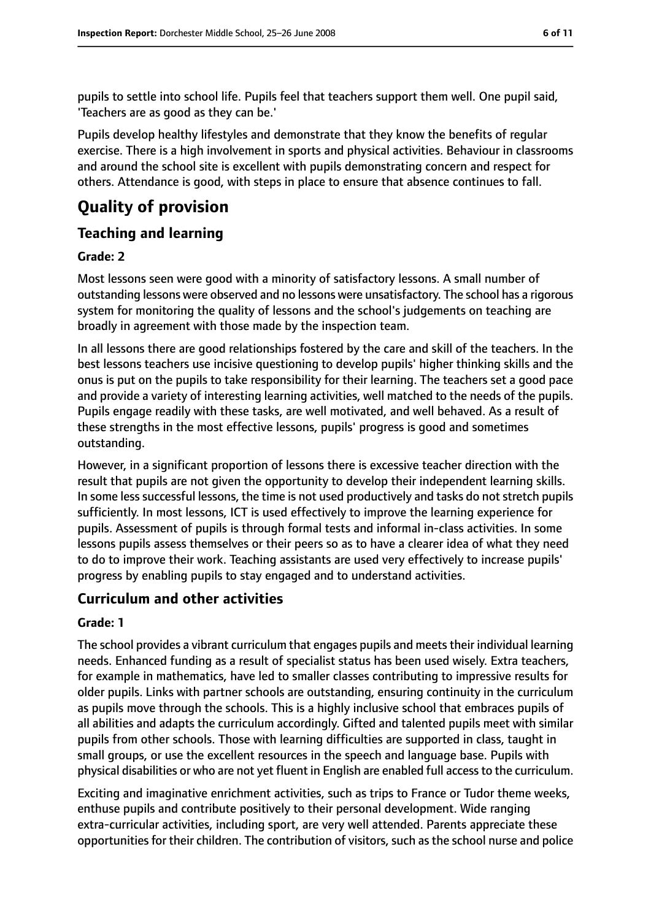pupils to settle into school life. Pupils feel that teachers support them well. One pupil said, 'Teachers are as good as they can be.'

Pupils develop healthy lifestyles and demonstrate that they know the benefits of regular exercise. There is a high involvement in sports and physical activities. Behaviour in classrooms and around the school site is excellent with pupils demonstrating concern and respect for others. Attendance is good, with steps in place to ensure that absence continues to fall.

# **Quality of provision**

## **Teaching and learning**

#### **Grade: 2**

Most lessons seen were good with a minority of satisfactory lessons. A small number of outstanding lessons were observed and no lessons were unsatisfactory. The school has a rigorous system for monitoring the quality of lessons and the school's judgements on teaching are broadly in agreement with those made by the inspection team.

In all lessons there are good relationships fostered by the care and skill of the teachers. In the best lessons teachers use incisive questioning to develop pupils' higher thinking skills and the onus is put on the pupils to take responsibility for their learning. The teachers set a good pace and provide a variety of interesting learning activities, well matched to the needs of the pupils. Pupils engage readily with these tasks, are well motivated, and well behaved. As a result of these strengths in the most effective lessons, pupils' progress is good and sometimes outstanding.

However, in a significant proportion of lessons there is excessive teacher direction with the result that pupils are not given the opportunity to develop their independent learning skills. In some less successful lessons, the time is not used productively and tasks do not stretch pupils sufficiently. In most lessons, ICT is used effectively to improve the learning experience for pupils. Assessment of pupils is through formal tests and informal in-class activities. In some lessons pupils assess themselves or their peers so as to have a clearer idea of what they need to do to improve their work. Teaching assistants are used very effectively to increase pupils' progress by enabling pupils to stay engaged and to understand activities.

## **Curriculum and other activities**

#### **Grade: 1**

The school provides a vibrant curriculum that engages pupils and meets their individual learning needs. Enhanced funding as a result of specialist status has been used wisely. Extra teachers, for example in mathematics, have led to smaller classes contributing to impressive results for older pupils. Links with partner schools are outstanding, ensuring continuity in the curriculum as pupils move through the schools. This is a highly inclusive school that embraces pupils of all abilities and adapts the curriculum accordingly. Gifted and talented pupils meet with similar pupils from other schools. Those with learning difficulties are supported in class, taught in small groups, or use the excellent resources in the speech and language base. Pupils with physical disabilities or who are not yet fluent in English are enabled full accessto the curriculum.

Exciting and imaginative enrichment activities, such as trips to France or Tudor theme weeks, enthuse pupils and contribute positively to their personal development. Wide ranging extra-curricular activities, including sport, are very well attended. Parents appreciate these opportunities for their children. The contribution of visitors, such as the school nurse and police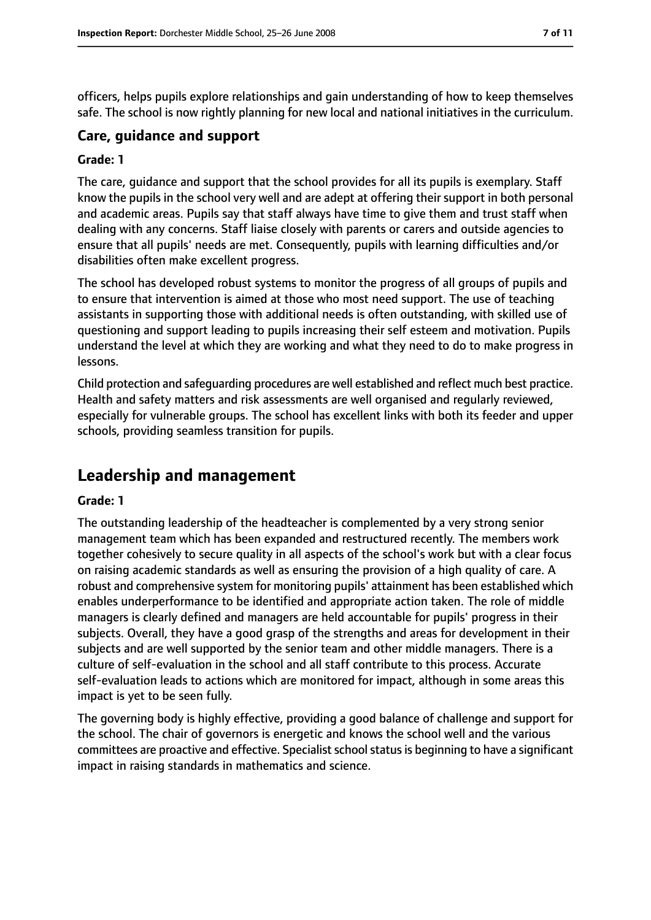officers, helps pupils explore relationships and gain understanding of how to keep themselves safe. The school is now rightly planning for new local and national initiatives in the curriculum.

## **Care, guidance and support**

#### **Grade: 1**

The care, guidance and support that the school provides for all its pupils is exemplary. Staff know the pupils in the school very well and are adept at offering their support in both personal and academic areas. Pupils say that staff always have time to give them and trust staff when dealing with any concerns. Staff liaise closely with parents or carers and outside agencies to ensure that all pupils' needs are met. Consequently, pupils with learning difficulties and/or disabilities often make excellent progress.

The school has developed robust systems to monitor the progress of all groups of pupils and to ensure that intervention is aimed at those who most need support. The use of teaching assistants in supporting those with additional needs is often outstanding, with skilled use of questioning and support leading to pupils increasing their self esteem and motivation. Pupils understand the level at which they are working and what they need to do to make progress in lessons.

Child protection and safeguarding procedures are well established and reflect much best practice. Health and safety matters and risk assessments are well organised and regularly reviewed, especially for vulnerable groups. The school has excellent links with both its feeder and upper schools, providing seamless transition for pupils.

# **Leadership and management**

#### **Grade: 1**

The outstanding leadership of the headteacher is complemented by a very strong senior management team which has been expanded and restructured recently. The members work together cohesively to secure quality in all aspects of the school's work but with a clear focus on raising academic standards as well as ensuring the provision of a high quality of care. A robust and comprehensive system for monitoring pupils' attainment has been established which enables underperformance to be identified and appropriate action taken. The role of middle managers is clearly defined and managers are held accountable for pupils' progress in their subjects. Overall, they have a good grasp of the strengths and areas for development in their subjects and are well supported by the senior team and other middle managers. There is a culture of self-evaluation in the school and all staff contribute to this process. Accurate self-evaluation leads to actions which are monitored for impact, although in some areas this impact is yet to be seen fully.

The governing body is highly effective, providing a good balance of challenge and support for the school. The chair of governors is energetic and knows the school well and the various committees are proactive and effective. Specialist school status is beginning to have a significant impact in raising standards in mathematics and science.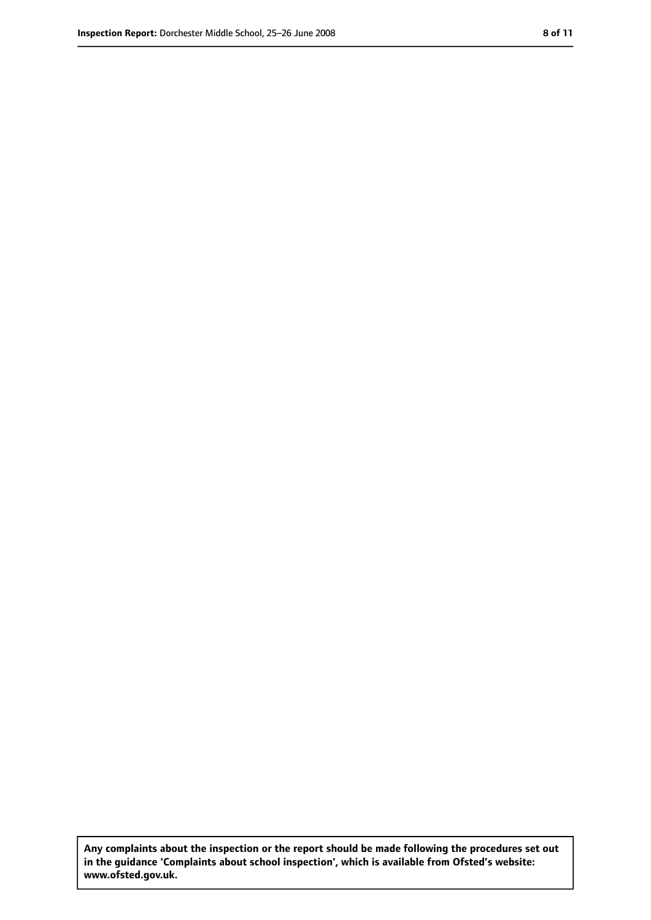**Any complaints about the inspection or the report should be made following the procedures set out in the guidance 'Complaints about school inspection', which is available from Ofsted's website: www.ofsted.gov.uk.**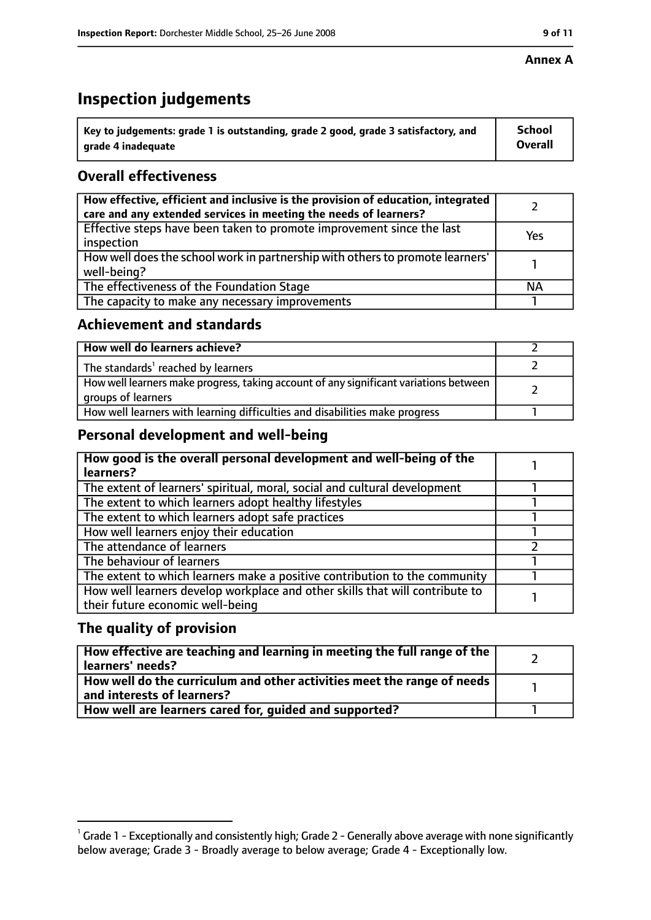#### **Annex A**

# **Inspection judgements**

| $\degree$ Key to judgements: grade 1 is outstanding, grade 2 good, grade 3 satisfactory, and | School         |
|----------------------------------------------------------------------------------------------|----------------|
| arade 4 inadequate                                                                           | <b>Overall</b> |

## **Overall effectiveness**

| How effective, efficient and inclusive is the provision of education, integrated<br>care and any extended services in meeting the needs of learners? |           |
|------------------------------------------------------------------------------------------------------------------------------------------------------|-----------|
| Effective steps have been taken to promote improvement since the last<br>inspection                                                                  | Yes       |
| How well does the school work in partnership with others to promote learners'<br>well-being?                                                         |           |
| The effectiveness of the Foundation Stage                                                                                                            | <b>NA</b> |
| The capacity to make any necessary improvements                                                                                                      |           |

## **Achievement and standards**

| How well do learners achieve?                                                                               |  |
|-------------------------------------------------------------------------------------------------------------|--|
| The standards <sup>1</sup> reached by learners                                                              |  |
| How well learners make progress, taking account of any significant variations between<br>groups of learners |  |
| How well learners with learning difficulties and disabilities make progress                                 |  |

## **Personal development and well-being**

| How good is the overall personal development and well-being of the<br>learners?                                  |  |
|------------------------------------------------------------------------------------------------------------------|--|
| The extent of learners' spiritual, moral, social and cultural development                                        |  |
| The extent to which learners adopt healthy lifestyles                                                            |  |
| The extent to which learners adopt safe practices                                                                |  |
| How well learners enjoy their education                                                                          |  |
| The attendance of learners                                                                                       |  |
| The behaviour of learners                                                                                        |  |
| The extent to which learners make a positive contribution to the community                                       |  |
| How well learners develop workplace and other skills that will contribute to<br>their future economic well-being |  |

## **The quality of provision**

| How effective are teaching and learning in meeting the full range of the<br>learners' needs?          |  |
|-------------------------------------------------------------------------------------------------------|--|
| How well do the curriculum and other activities meet the range of needs<br>and interests of learners? |  |
| How well are learners cared for, quided and supported?                                                |  |

 $^1$  Grade 1 - Exceptionally and consistently high; Grade 2 - Generally above average with none significantly below average; Grade 3 - Broadly average to below average; Grade 4 - Exceptionally low.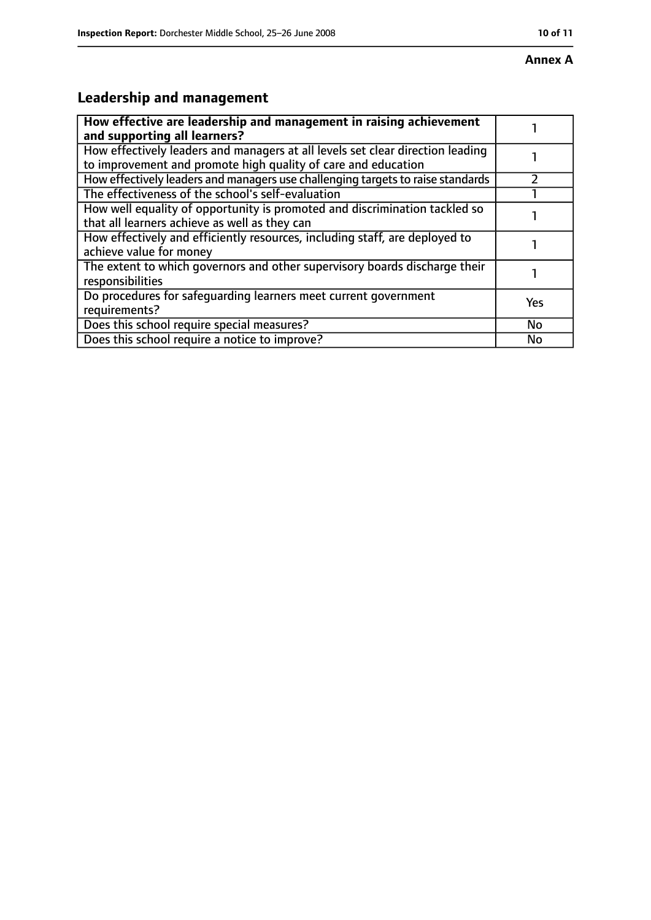# **Annex A**

# **Leadership and management**

| How effective are leadership and management in raising achievement<br>and supporting all learners?                                              |     |
|-------------------------------------------------------------------------------------------------------------------------------------------------|-----|
| How effectively leaders and managers at all levels set clear direction leading<br>to improvement and promote high quality of care and education |     |
| How effectively leaders and managers use challenging targets to raise standards                                                                 |     |
| The effectiveness of the school's self-evaluation                                                                                               |     |
| How well equality of opportunity is promoted and discrimination tackled so<br>that all learners achieve as well as they can                     |     |
| How effectively and efficiently resources, including staff, are deployed to<br>achieve value for money                                          |     |
| The extent to which governors and other supervisory boards discharge their<br>responsibilities                                                  |     |
| Do procedures for safequarding learners meet current government<br>requirements?                                                                | Yes |
| Does this school require special measures?                                                                                                      | No  |
| Does this school require a notice to improve?                                                                                                   | No  |